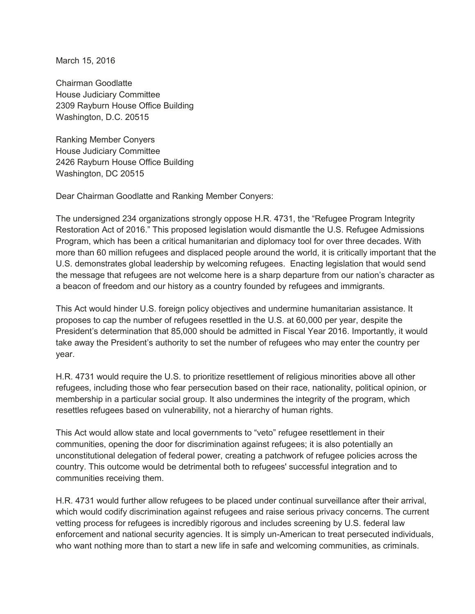March 15, 2016

Chairman Goodlatte House Judiciary Committee 2309 Rayburn House Office Building Washington, D.C. 20515

Ranking Member Conyers House Judiciary Committee 2426 Rayburn House Office Building Washington, DC 20515

Dear Chairman Goodlatte and Ranking Member Conyers:

The undersigned 234 organizations strongly oppose H.R. 4731, the "Refugee Program Integrity Restoration Act of 2016." This proposed legislation would dismantle the U.S. Refugee Admissions Program, which has been a critical humanitarian and diplomacy tool for over three decades. With more than 60 million refugees and displaced people around the world, it is critically important that the U.S. demonstrates global leadership by welcoming refugees. Enacting legislation that would send the message that refugees are not welcome here is a sharp departure from our nation's character as a beacon of freedom and our history as a country founded by refugees and immigrants.

This Act would hinder U.S. foreign policy objectives and undermine humanitarian assistance. It proposes to cap the number of refugees resettled in the U.S. at 60,000 per year, despite the President's determination that 85,000 should be admitted in Fiscal Year 2016. Importantly, it would take away the President's authority to set the number of refugees who may enter the country per year.

H.R. 4731 would require the U.S. to prioritize resettlement of religious minorities above all other refugees, including those who fear persecution based on their race, nationality, political opinion, or membership in a particular social group. It also undermines the integrity of the program, which resettles refugees based on vulnerability, not a hierarchy of human rights.

This Act would allow state and local governments to "veto" refugee resettlement in their communities, opening the door for discrimination against refugees; it is also potentially an unconstitutional delegation of federal power, creating a patchwork of refugee policies across the country. This outcome would be detrimental both to refugees' successful integration and to communities receiving them.

H.R. 4731 would further allow refugees to be placed under continual surveillance after their arrival, which would codify discrimination against refugees and raise serious privacy concerns. The current vetting process for refugees is incredibly rigorous and includes screening by U.S. federal law enforcement and national security agencies. It is simply un-American to treat persecuted individuals, who want nothing more than to start a new life in safe and welcoming communities, as criminals.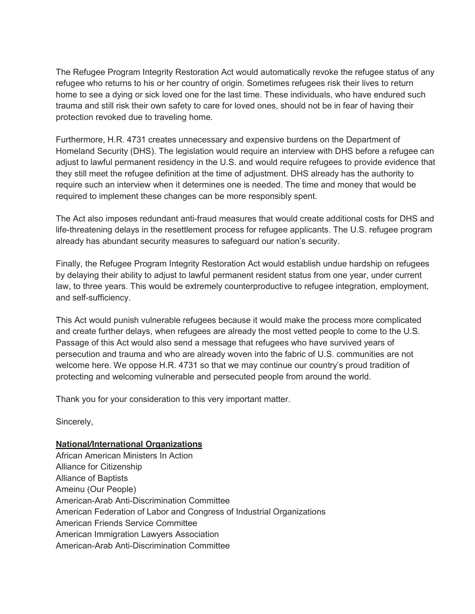The Refugee Program Integrity Restoration Act would automatically revoke the refugee status of any refugee who returns to his or her country of origin. Sometimes refugees risk their lives to return home to see a dying or sick loved one for the last time. These individuals, who have endured such trauma and still risk their own safety to care for loved ones, should not be in fear of having their protection revoked due to traveling home.

Furthermore, H.R. 4731 creates unnecessary and expensive burdens on the Department of Homeland Security (DHS). The legislation would require an interview with DHS before a refugee can adjust to lawful permanent residency in the U.S. and would require refugees to provide evidence that they still meet the refugee definition at the time of adjustment. DHS already has the authority to require such an interview when it determines one is needed. The time and money that would be required to implement these changes can be more responsibly spent.

The Act also imposes redundant anti-fraud measures that would create additional costs for DHS and life-threatening delays in the resettlement process for refugee applicants. The U.S. refugee program already has abundant security measures to safeguard our nation's security.

Finally, the Refugee Program Integrity Restoration Act would establish undue hardship on refugees by delaying their ability to adjust to lawful permanent resident status from one year, under current law, to three years. This would be extremely counterproductive to refugee integration, employment, and self-sufficiency.

This Act would punish vulnerable refugees because it would make the process more complicated and create further delays, when refugees are already the most vetted people to come to the U.S. Passage of this Act would also send a message that refugees who have survived years of persecution and trauma and who are already woven into the fabric of U.S. communities are not welcome here. We oppose H.R. 4731 so that we may continue our country's proud tradition of protecting and welcoming vulnerable and persecuted people from around the world.

Thank you for your consideration to this very important matter.

Sincerely,

#### **National/International Organizations**

African American Ministers In Action Alliance for Citizenship Alliance of Baptists Ameinu (Our People) American-Arab Anti-Discrimination Committee American Federation of Labor and Congress of Industrial Organizations American Friends Service Committee American Immigration Lawyers Association American-Arab Anti-Discrimination Committee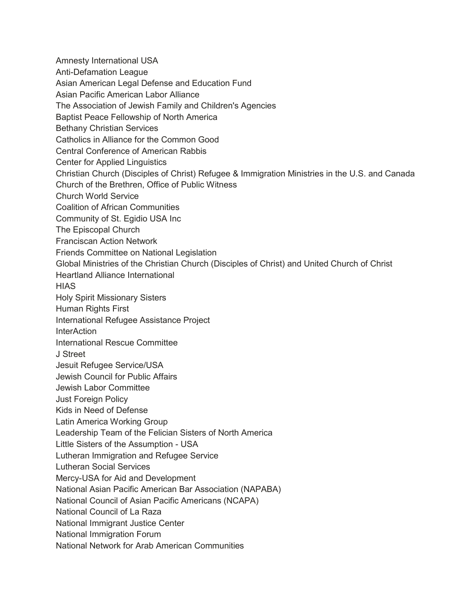Amnesty International USA Anti-Defamation League Asian American Legal Defense and Education Fund Asian Pacific American Labor Alliance The Association of Jewish Family and Children's Agencies Baptist Peace Fellowship of North America Bethany Christian Services Catholics in Alliance for the Common Good Central Conference of American Rabbis Center for Applied Linguistics Christian Church (Disciples of Christ) Refugee & Immigration Ministries in the U.S. and Canada Church of the Brethren, Office of Public Witness Church World Service Coalition of African Communities Community of St. Egidio USA Inc The Episcopal Church Franciscan Action Network Friends Committee on National Legislation Global Ministries of the Christian Church (Disciples of Christ) and United Church of Christ Heartland Alliance International **HIAS** Holy Spirit Missionary Sisters Human Rights First International Refugee Assistance Project **InterAction** International Rescue Committee J Street Jesuit Refugee Service/USA Jewish Council for Public Affairs Jewish Labor Committee Just Foreign Policy Kids in Need of Defense Latin America Working Group Leadership Team of the Felician Sisters of North America Little Sisters of the Assumption - USA Lutheran Immigration and Refugee Service Lutheran Social Services Mercy-USA for Aid and Development National Asian Pacific American Bar Association (NAPABA) National Council of Asian Pacific Americans (NCAPA) National Council of La Raza National Immigrant Justice Center National Immigration Forum National Network for Arab American Communities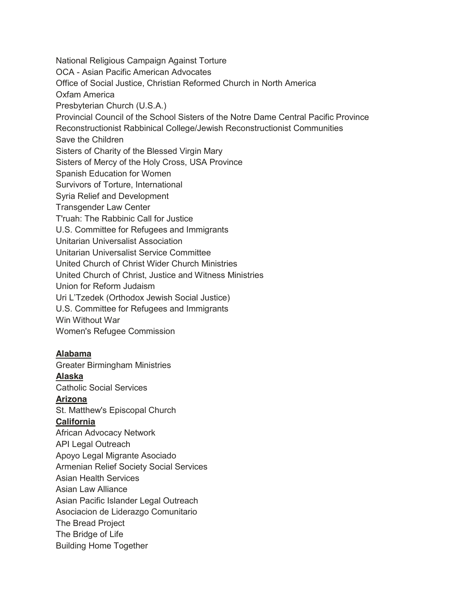National Religious Campaign Against Torture OCA - Asian Pacific American Advocates Office of Social Justice, Christian Reformed Church in North America Oxfam America Presbyterian Church (U.S.A.) Provincial Council of the School Sisters of the Notre Dame Central Pacific Province Reconstructionist Rabbinical College/Jewish Reconstructionist Communities Save the Children Sisters of Charity of the Blessed Virgin Mary Sisters of Mercy of the Holy Cross, USA Province Spanish Education for Women Survivors of Torture, International Syria Relief and Development Transgender Law Center T'ruah: The Rabbinic Call for Justice U.S. Committee for Refugees and Immigrants Unitarian Universalist Association Unitarian Universalist Service Committee United Church of Christ Wider Church Ministries United Church of Christ, Justice and Witness Ministries Union for Reform Judaism Uri L'Tzedek (Orthodox Jewish Social Justice) U.S. Committee for Refugees and Immigrants Win Without War Women's Refugee Commission

#### **Alabama**

Greater Birmingham Ministries

#### **Alaska**

Catholic Social Services

#### **Arizona**

St. Matthew's Episcopal Church

#### **California**

African Advocacy Network API Legal Outreach Apoyo Legal Migrante Asociado Armenian Relief Society Social Services Asian Health Services Asian Law Alliance Asian Pacific Islander Legal Outreach Asociacion de Liderazgo Comunitario The Bread Project The Bridge of Life Building Home Together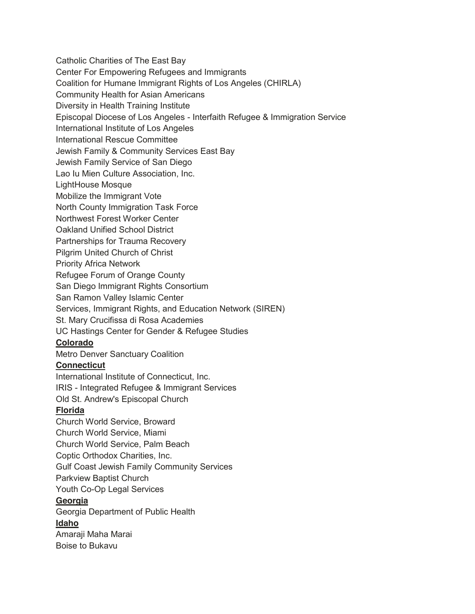Catholic Charities of The East Bay Center For Empowering Refugees and Immigrants Coalition for Humane Immigrant Rights of Los Angeles (CHIRLA) Community Health for Asian Americans Diversity in Health Training Institute Episcopal Diocese of Los Angeles - Interfaith Refugee & Immigration Service International Institute of Los Angeles International Rescue Committee Jewish Family & Community Services East Bay Jewish Family Service of San Diego Lao Iu Mien Culture Association, Inc. LightHouse Mosque Mobilize the Immigrant Vote North County Immigration Task Force Northwest Forest Worker Center Oakland Unified School District Partnerships for Trauma Recovery Pilgrim United Church of Christ Priority Africa Network Refugee Forum of Orange County San Diego Immigrant Rights Consortium San Ramon Valley Islamic Center Services, Immigrant Rights, and Education Network (SIREN) St. Mary Crucifissa di Rosa Academies UC Hastings Center for Gender & Refugee Studies **Colorado** Metro Denver Sanctuary Coalition **Connecticut**  International Institute of Connecticut, Inc. IRIS - Integrated Refugee & Immigrant Services Old St. Andrew's Episcopal Church **Florida**  Church World Service, Broward Church World Service, Miami Church World Service, Palm Beach Coptic Orthodox Charities, Inc. Gulf Coast Jewish Family Community Services Parkview Baptist Church Youth Co-Op Legal Services **Georgia**  Georgia Department of Public Health **Idaho** Amaraji Maha Marai Boise to Bukavu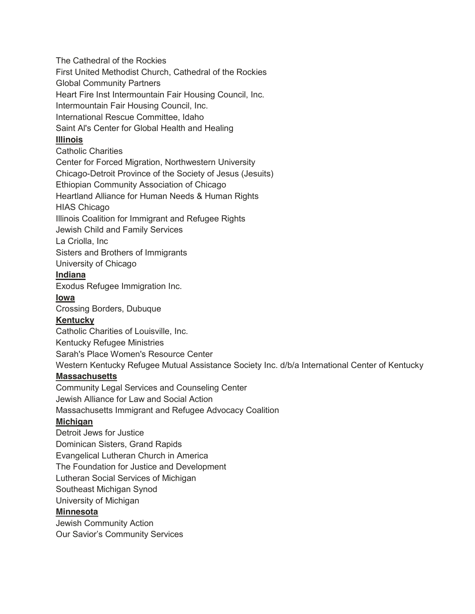The Cathedral of the Rockies

First United Methodist Church, Cathedral of the Rockies

Global Community Partners

Heart Fire Inst Intermountain Fair Housing Council, Inc.

Intermountain Fair Housing Council, Inc.

International Rescue Committee, Idaho

Saint Al's Center for Global Health and Healing

## **Illinois**

Catholic Charities

Center for Forced Migration, Northwestern University

Chicago-Detroit Province of the Society of Jesus (Jesuits)

Ethiopian Community Association of Chicago

Heartland Alliance for Human Needs & Human Rights

HIAS Chicago

Illinois Coalition for Immigrant and Refugee Rights

Jewish Child and Family Services

La Criolla, Inc

Sisters and Brothers of Immigrants

University of Chicago

## **Indiana**

Exodus Refugee Immigration Inc.

#### **Iowa**

Crossing Borders, Dubuque

## **Kentucky**

Catholic Charities of Louisville, Inc.

Kentucky Refugee Ministries

Sarah's Place Women's Resource Center

Western Kentucky Refugee Mutual Assistance Society Inc. d/b/a International Center of Kentucky

## **Massachusetts**

Community Legal Services and Counseling Center Jewish Alliance for Law and Social Action Massachusetts Immigrant and Refugee Advocacy Coalition

## **Michigan**

Detroit Jews for Justice Dominican Sisters, Grand Rapids Evangelical Lutheran Church in America The Foundation for Justice and Development Lutheran Social Services of Michigan Southeast Michigan Synod University of Michigan

# **Minnesota**

Jewish Community Action Our Savior's Community Services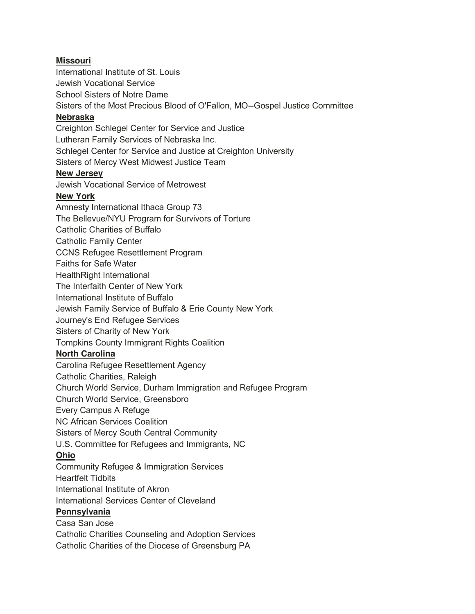## **Missouri**

International Institute of St. Louis Jewish Vocational Service School Sisters of Notre Dame Sisters of the Most Precious Blood of O'Fallon, MO--Gospel Justice Committee **Nebraska**  Creighton Schlegel Center for Service and Justice Lutheran Family Services of Nebraska Inc. Schlegel Center for Service and Justice at Creighton University Sisters of Mercy West Midwest Justice Team **New Jersey**  Jewish Vocational Service of Metrowest **New York**  Amnesty International Ithaca Group 73 The Bellevue/NYU Program for Survivors of Torture Catholic Charities of Buffalo Catholic Family Center CCNS Refugee Resettlement Program Faiths for Safe Water HealthRight International The Interfaith Center of New York International Institute of Buffalo Jewish Family Service of Buffalo & Erie County New York Journey's End Refugee Services Sisters of Charity of New York Tompkins County Immigrant Rights Coalition **North Carolina**  Carolina Refugee Resettlement Agency Catholic Charities, Raleigh Church World Service, Durham Immigration and Refugee Program Church World Service, Greensboro Every Campus A Refuge NC African Services Coalition Sisters of Mercy South Central Community U.S. Committee for Refugees and Immigrants, NC **Ohio**  Community Refugee & Immigration Services Heartfelt Tidbits International Institute of Akron International Services Center of Cleveland **Pennsylvania**  Casa San Jose Catholic Charities Counseling and Adoption Services

Catholic Charities of the Diocese of Greensburg PA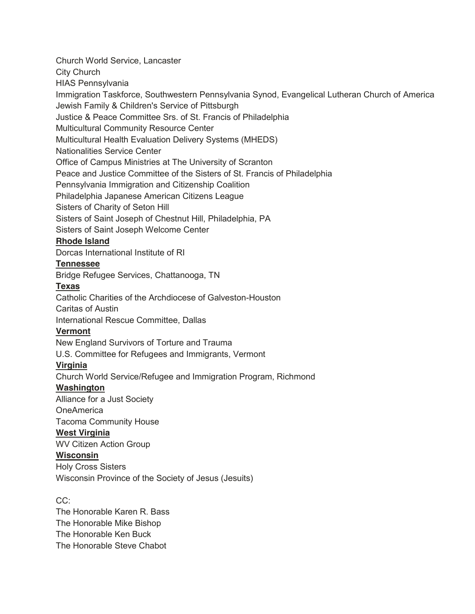Church World Service, Lancaster

City Church

HIAS Pennsylvania

Immigration Taskforce, Southwestern Pennsylvania Synod, Evangelical Lutheran Church of America Jewish Family & Children's Service of Pittsburgh

Justice & Peace Committee Srs. of St. Francis of Philadelphia

Multicultural Community Resource Center

Multicultural Health Evaluation Delivery Systems (MHEDS)

Nationalities Service Center

Office of Campus Ministries at The University of Scranton

Peace and Justice Committee of the Sisters of St. Francis of Philadelphia

Pennsylvania Immigration and Citizenship Coalition

Philadelphia Japanese American Citizens League

Sisters of Charity of Seton Hill

Sisters of Saint Joseph of Chestnut Hill, Philadelphia, PA

Sisters of Saint Joseph Welcome Center

# **Rhode Island**

Dorcas International Institute of RI

## **Tennessee**

Bridge Refugee Services, Chattanooga, TN

# **Texas**

Catholic Charities of the Archdiocese of Galveston-Houston

Caritas of Austin

International Rescue Committee, Dallas

## **Vermont**

New England Survivors of Torture and Trauma

U.S. Committee for Refugees and Immigrants, Vermont

# **Virginia**

Church World Service/Refugee and Immigration Program, Richmond

# **Washington**

Alliance for a Just Society

**OneAmerica** 

Tacoma Community House

# **West Virginia**

WV Citizen Action Group

**Wisconsin**  Holy Cross Sisters Wisconsin Province of the Society of Jesus (Jesuits)

CC:

The Honorable Karen R. Bass The Honorable Mike Bishop The Honorable Ken Buck The Honorable Steve Chabot